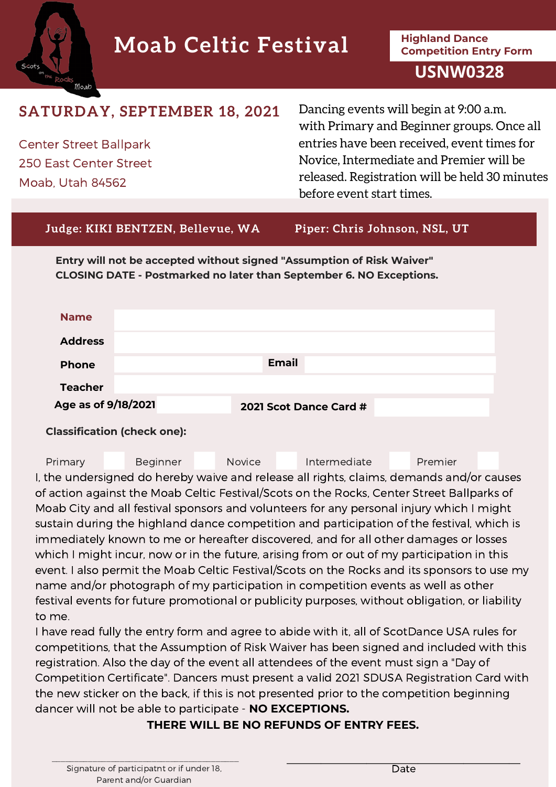# **Highland Dance Moab Celtic Festival Competition Entry Form**

## **USNW0328**

# **SATURDAY, SEPTEMBER 18, 2021**

Center Street Ballpark 250 East Center Street Moab, Utah 84562

Moab

Dancing events will begin at 9:00 a.m. with Primary and Beginner groups. Once all entries have been received, event times for Novice, Intermediate and Premier will be released. Registration will be held 30 minutes before event start times.

#### **Judge: KIKI BENTZEN, Bellevue, WA Piper: Chris Johnson, NSL, UT**

**Entry will not be accepted without signed "Assumption of Risk Waiver" CLOSING DATE - Postmarked no later than September 6. NO Exceptions.**

| <b>Name</b>         |  |                        |  |
|---------------------|--|------------------------|--|
| <b>Address</b>      |  |                        |  |
| <b>Phone</b>        |  | <b>Email</b>           |  |
| <b>Teacher</b>      |  |                        |  |
| Age as of 9/18/2021 |  | 2021 Scot Dance Card # |  |

**Classification (check one):**

Primary Beginner Novice Intermediate Premier I, the undersigned do hereby waive and release all rights, claims, demands and/or causes of action against the Moab Celtic Festival/Scots on the Rocks, Center Street Ballparks of Moab City and all festival sponsors and volunteers for any personal injury which I might sustain during the highland dance competition and participation of the festival, which is immediately known to me or hereafter discovered, and for all other damages or losses which I might incur, now or in the future, arising from or out of my participation in this event. I also permit the Moab Celtic Festival/Scots on the Rocks and its sponsors to use my name and/or photograph of my participation in competition events as well as other festival events for future promotional or publicity purposes, without obligation, or liability to me.

I have read fully the entry form and agree to abide with it, all of ScotDance USA rules for competitions, that the Assumption of Risk Waiver has been signed and included with this registration. Also the day of the event all attendees of the event must sign a "Day of Competition Certificate". Dancers must present a valid 2021 SDUSA Registration Card with the new sticker on the back, if this is not presented prior to the competition beginning dancer will not be able to participate - **NO EXCEPTIONS.**

### **THERE WILL BE NO REFUNDS OF ENTRY FEES.**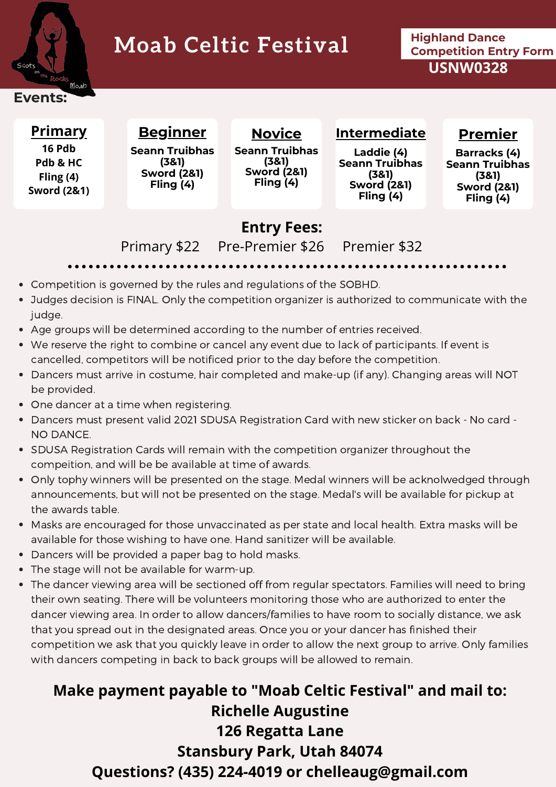

# **Highland Dance Moab Celtic Festival Competition Entry Form**

**USNW0328**

### **Events:**

## **Primary**

**16 Pdb Pdb & HC Fling (4) Sword (2&1)**

**Beginner Seann Truibhas (3&1) Sword (2&1) Fling (4)**

**Novice Seann Truibhas (3&1) Sword (2&1) Fling (4)**

**Laddie (4) Seann Truibhas (3&1) Sword (2&1) Fling (4)**

**Intermediate**

## **Premier**

**Barracks (4) Seann Truibhas (3&1) Sword (2&1) Fling (4)**

# **Entry Fees:**

Primary \$22 Pre-Premier \$26 Premier \$32

- Competition is governed by the rules and regulations of the SOBHD.
- Judges decision is FINAL. Only the competition organizer is authorized to communicate with the judge.
- Age groups will be determined according to the number of entries received.
- We reserve the right to combine or cancel any event due to lack of participants. If event is cancelled, competitors will be notificed prior to the day before the competition.
- Dancers must arrive in costume, hair completed and make-up (if any). Changing areas will NOT be provided.
- One dancer at a time when registering.
- Dancers must present valid 2021 SDUSA Registration Card with new sticker on back No card NO DANCE.
- SDUSA Registration Cards will remain with the competition organizer throughout the compeition, and will be be available at time of awards.
- Only tophy winners will be presented on the stage. Medal winners will be acknolwedged through announcements, but will not be presented on the stage. Medal's will be available for pickup at the awards table.
- Masks are encouraged for those unvaccinated as per state and local health. Extra masks will be available for those wishing to have one. Hand sanitizer will be available.
- Dancers will be provided a paper bag to hold masks.
- The stage will not be available for warm-up.
- The dancer viewing area will be sectioned off from regular spectators. Families will need to bring their own seating. There will be volunteers monitoring those who are authorized to enter the dancer viewing area. In order to allow dancers/families to have room to socially distance, we ask that you spread out in the designated areas. Once you or your dancer has finished their competition we ask that you quickly leave in order to allow the next group to arrive. Only families with dancers competing in back to back groups will be allowed to remain.

# **Make payment payable to "Moab Celtic Festival" and mail to: Richelle Augustine 126 Regatta Lane Stansbury Park, Utah 84074 Questions? (435) 224-4019 or chelleaug@gmail.com**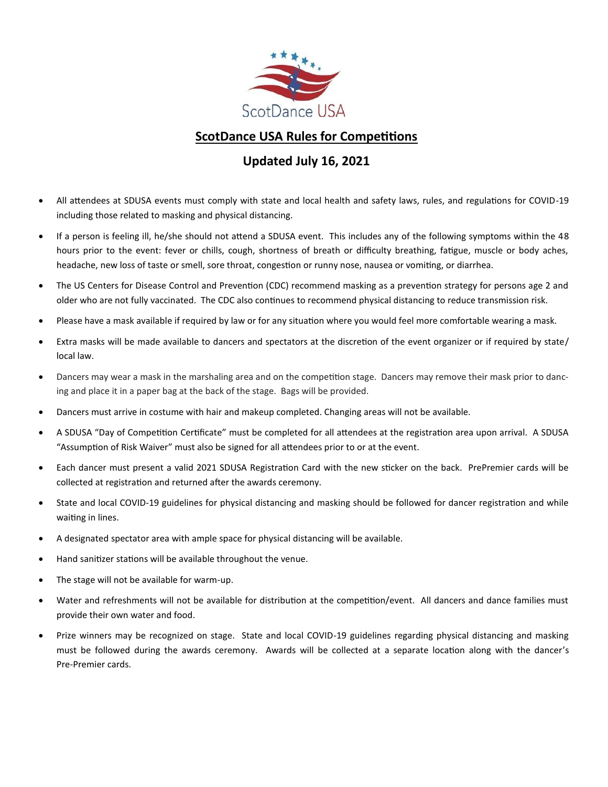

#### **ScotDance USA Rules for Competitions**

#### **Updated July 16, 2021**

- All attendees at SDUSA events must comply with state and local health and safety laws, rules, and regulations for COVID-19 including those related to masking and physical distancing.
- If a person is feeling ill, he/she should not attend a SDUSA event. This includes any of the following symptoms within the 48 hours prior to the event: fever or chills, cough, shortness of breath or difficulty breathing, fatigue, muscle or body aches, headache, new loss of taste or smell, sore throat, congestion or runny nose, nausea or vomiting, or diarrhea.
- The US Centers for Disease Control and Prevention (CDC) recommend masking as a prevention strategy for persons age 2 and older who are not fully vaccinated. The CDC also continues to recommend physical distancing to reduce transmission risk.
- Please have a mask available if required by law or for any situation where you would feel more comfortable wearing a mask.
- Extra masks will be made available to dancers and spectators at the discretion of the event organizer or if required by state/ local law.
- Dancers may wear a mask in the marshaling area and on the competition stage. Dancers may remove their mask prior to dancing and place it in a paper bag at the back of the stage. Bags will be provided.
- Dancers must arrive in costume with hair and makeup completed. Changing areas will not be available.
- A SDUSA "Day of Competition Certificate" must be completed for all attendees at the registration area upon arrival. A SDUSA "Assumption of Risk Waiver" must also be signed for all attendees prior to or at the event.
- Each dancer must present a valid 2021 SDUSA Registration Card with the new sticker on the back. PrePremier cards will be collected at registration and returned after the awards ceremony.
- State and local COVID-19 guidelines for physical distancing and masking should be followed for dancer registration and while waiting in lines.
- A designated spectator area with ample space for physical distancing will be available.
- Hand sanitizer stations will be available throughout the venue.
- The stage will not be available for warm-up.
- Water and refreshments will not be available for distribution at the competition/event. All dancers and dance families must provide their own water and food.
- Prize winners may be recognized on stage. State and local COVID-19 guidelines regarding physical distancing and masking must be followed during the awards ceremony. Awards will be collected at a separate location along with the dancer's Pre-Premier cards.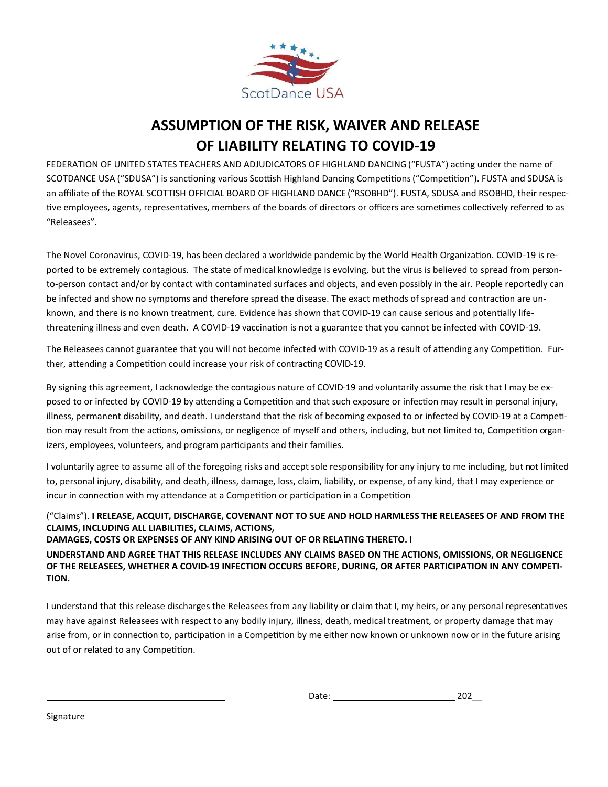

## **ASSUMPTION OF THE RISK, WAIVER AND RELEASE OF LIABILITY RELATING TO COVID-19**

FEDERATION OF UNITED STATES TEACHERS AND ADJUDICATORS OF HIGHLAND DANCING ("FUSTA") acting under the name of SCOTDANCE USA ("SDUSA") is sanctioning various Scottish Highland Dancing Competitions ("Competition"). FUSTA and SDUSA is an affiliate of the ROYAL SCOTTISH OFFICIAL BOARD OF HIGHLAND DANCE ("RSOBHD"). FUSTA, SDUSA and RSOBHD, their respective employees, agents, representatives, members of the boards of directors or officers are sometimes collectively referred to as "Releasees".

The Novel Coronavirus, COVID-19, has been declared a worldwide pandemic by the World Health Organization. COVID-19 is reported to be extremely contagious. The state of medical knowledge is evolving, but the virus is believed to spread from personto-person contact and/or by contact with contaminated surfaces and objects, and even possibly in the air. People reportedly can be infected and show no symptoms and therefore spread the disease. The exact methods of spread and contraction are unknown, and there is no known treatment, cure. Evidence has shown that COVID-19 can cause serious and potentially lifethreatening illness and even death. A COVID-19 vaccination is not a guarantee that you cannot be infected with COVID-19.

The Releasees cannot guarantee that you will not become infected with COVID-19 as a result of attending any Competition. Further, attending a Competition could increase your risk of contracting COVID-19.

By signing this agreement, I acknowledge the contagious nature of COVID-19 and voluntarily assume the risk that I may be exposed to or infected by COVID-19 by attending a Competition and that such exposure or infection may result in personal injury, illness, permanent disability, and death. I understand that the risk of becoming exposed to or infected by COVID-19 at a Competition may result from the actions, omissions, or negligence of myself and others, including, but not limited to, Competition organizers, employees, volunteers, and program participants and their families.

I voluntarily agree to assume all of the foregoing risks and accept sole responsibility for any injury to me including, but not limited to, personal injury, disability, and death, illness, damage, loss, claim, liability, or expense, of any kind, that I may experience or incur in connection with my attendance at a Competition or participation in a Competition

#### ("Claims"). **I RELEASE, ACQUIT, DISCHARGE, COVENANT NOT TO SUE AND HOLD HARMLESS THE RELEASEES OF AND FROM THE CLAIMS, INCLUDING ALL LIABILITIES, CLAIMS, ACTIONS,**

**DAMAGES, COSTS OR EXPENSES OF ANY KIND ARISING OUT OF OR RELATING THERETO. I** 

**UNDERSTAND AND AGREE THAT THIS RELEASE INCLUDES ANY CLAIMS BASED ON THE ACTIONS, OMISSIONS, OR NEGLIGENCE OF THE RELEASEES, WHETHER A COVID-19 INFECTION OCCURS BEFORE, DURING, OR AFTER PARTICIPATION IN ANY COMPETI-TION.** 

I understand that this release discharges the Releasees from any liability or claim that I, my heirs, or any personal representatives may have against Releasees with respect to any bodily injury, illness, death, medical treatment, or property damage that may arise from, or in connection to, participation in a Competition by me either now known or unknown now or in the future arising out of or related to any Competition.

Signature

 $\overline{a}$